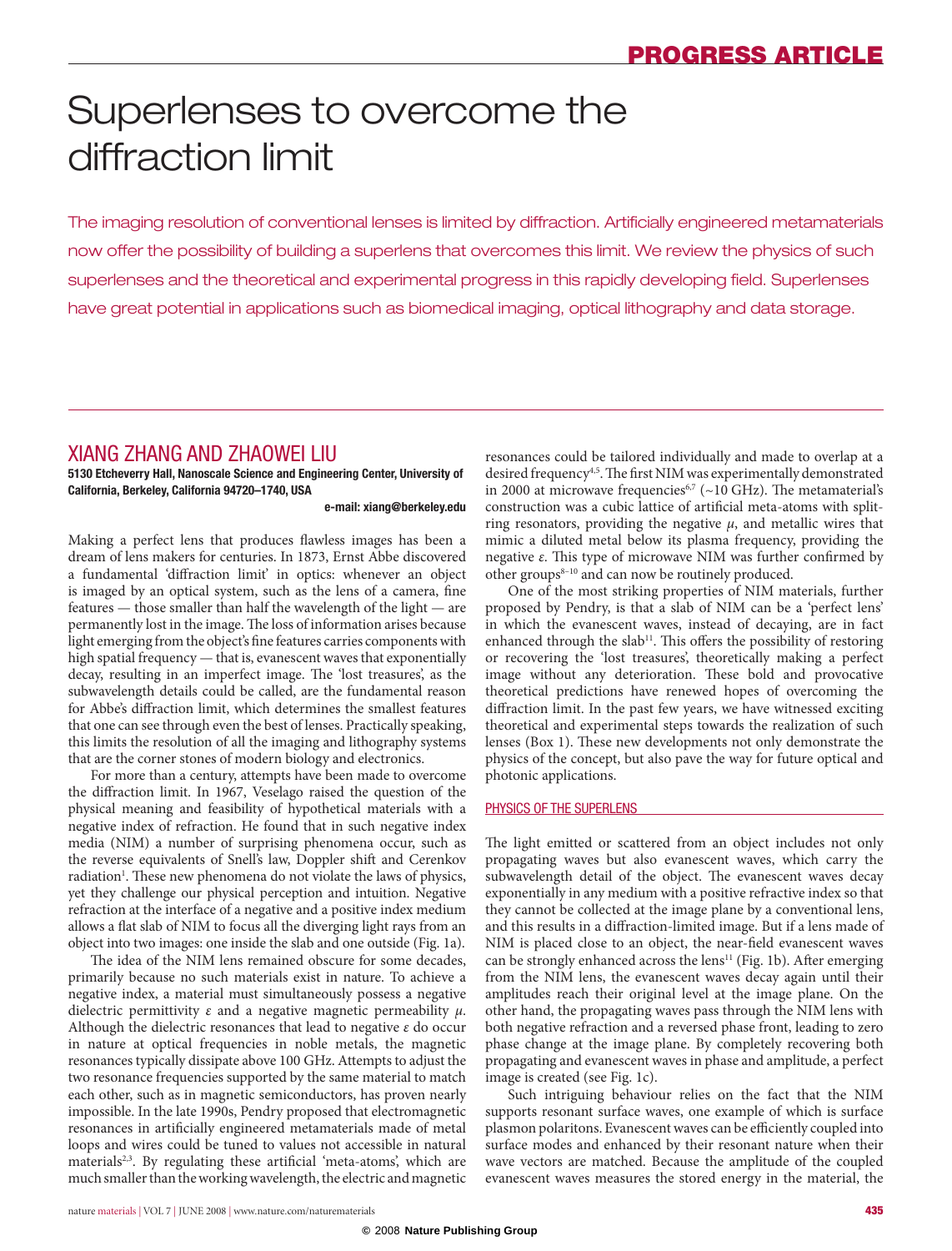# Superlenses to overcome the diffraction limit

The imaging resolution of conventional lenses is limited by diffraction. Artificially engineered metamaterials now offer the possibility of building a superlens that overcomes this limit. We review the physics of such superlenses and the theoretical and experimental progress in this rapidly developing field. Superlenses have great potential in applications such as biomedical imaging, optical lithography and data storage.

## Xiang Zhang and Zhaowei Liu

**5130 Etcheverry Hall, Nanoscale Science and Engineering Center, University of California, Berkeley, California 94720–1740, USA**

**e-mail: [xiang@berkeley.edu](mailto:xiang@berkeley.edu )**

Making a perfect lens that produces flawless images has been a dream of lens makers for centuries. In 1873, Ernst Abbe discovered a fundamental 'diffraction limit' in optics: whenever an object is imaged by an optical system, such as the lens of a camera, fine features — those smaller than half the wavelength of the light — are permanently lost in the image. The loss of information arises because light emerging from the object's fine features carries components with high spatial frequency — that is, evanescent waves that exponentially decay, resulting in an imperfect image. The 'lost treasures', as the subwavelength details could be called, are the fundamental reason for Abbe's diffraction limit, which determines the smallest features that one can see through even the best of lenses. Practically speaking, this limits the resolution of all the imaging and lithography systems that are the corner stones of modern biology and electronics.

For more than a century, attempts have been made to overcome the diffraction limit. In 1967, Veselago raised the question of the physical meaning and feasibility of hypothetical materials with a negative index of refraction. He found that in such negative index media (NIM) a number of surprising phenomena occur, such as the reverse equivalents of Snell's law, Doppler shift and Cerenkov radiation<sup>1</sup>. These new phenomena do not violate the laws of physics, yet they challenge our physical perception and intuition. Negative refraction at the interface of a negative and a positive index medium allows a flat slab of NIM to focus all the diverging light rays from an object into two images: one inside the slab and one outside (Fig. 1a).

The idea of the NIM lens remained obscure for some decades, primarily because no such materials exist in nature. To achieve a negative index, a material must simultaneously possess a negative dielectric permittivity *ε* and a negative magnetic permeability *μ*. Although the dielectric resonances that lead to negative *ε* do occur in nature at optical frequencies in noble metals, the magnetic resonances typically dissipate above 100 GHz. Attempts to adjust the two resonance frequencies supported by the same material to match each other, such as in magnetic semiconductors, has proven nearly impossible. In the late 1990s, Pendry proposed that electromagnetic resonances in artificially engineered metamaterials made of metal loops and wires could be tuned to values not accessible in natural materials<sup>2,3</sup>. By regulating these artificial 'meta-atoms', which are much smaller than the working wavelength, the electric and magnetic

resonances could be tailored individually and made to overlap at a desired frequency<sup>4,5</sup>. The first NIM was experimentally demonstrated in 2000 at microwave frequencies<sup>6,7</sup> (~10 GHz). The metamaterial's construction was a cubic lattice of artificial meta-atoms with splitring resonators, providing the negative *μ*, and metallic wires that mimic a diluted metal below its plasma frequency, providing the negative *ε*. This type of microwave NIM was further confirmed by other groups $8-10$  and can now be routinely produced.

One of the most striking properties of NIM materials, further proposed by Pendry, is that a slab of NIM can be a 'perfect lens' in which the evanescent waves, instead of decaying, are in fact enhanced through the slab<sup>11</sup>. This offers the possibility of restoring or recovering the 'lost treasures', theoretically making a perfect image without any deterioration. These bold and provocative theoretical predictions have renewed hopes of overcoming the diffraction limit. In the past few years, we have witnessed exciting theoretical and experimental steps towards the realization of such lenses (Box 1). These new developments not only demonstrate the physics of the concept, but also pave the way for future optical and photonic applications.

## Physics of the superlens

The light emitted or scattered from an object includes not only propagating waves but also evanescent waves, which carry the subwavelength detail of the object. The evanescent waves decay exponentially in any medium with a positive refractive index so that they cannot be collected at the image plane by a conventional lens, and this results in a diffraction-limited image. But if a lens made of NIM is placed close to an object, the near-field evanescent waves can be strongly enhanced across the lens<sup>11</sup> (Fig. 1b). After emerging from the NIM lens, the evanescent waves decay again until their amplitudes reach their original level at the image plane. On the other hand, the propagating waves pass through the NIM lens with both negative refraction and a reversed phase front, leading to zero phase change at the image plane. By completely recovering both propagating and evanescent waves in phase and amplitude, a perfect image is created (see Fig. 1c).

Such intriguing behaviour relies on the fact that the NIM supports resonant surface waves, one example of which is surface plasmon polaritons. Evanescent waves can be efficiently coupled into surface modes and enhanced by their resonant nature when their wave vectors are matched. Because the amplitude of the coupled evanescent waves measures the stored energy in the material, the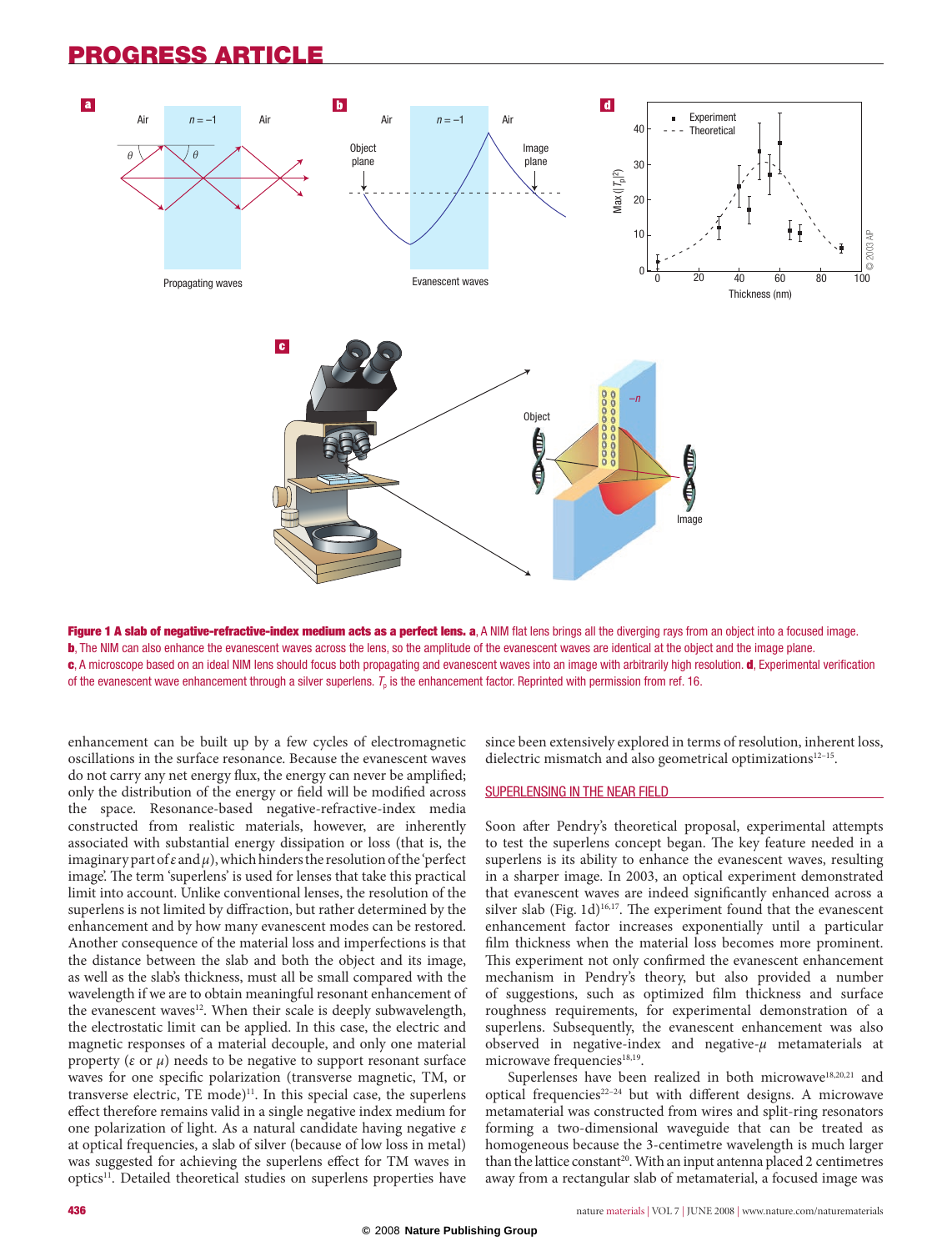## Progress ARTICLE



Figure 1 A slab of negative-refractive-index medium acts as a perfect lens. a, A NIM flat lens brings all the diverging rays from an object into a focused image. b, The NIM can also enhance the evanescent waves across the lens, so the amplitude of the evanescent waves are identical at the object and the image plane. c, A microscope based on an ideal NIM lens should focus both propagating and evanescent waves into an image with arbitrarily high resolution. d, Experimental verification of the evanescent wave enhancement through a silver superlens.  $T_0$  is the enhancement factor. Reprinted with permission from ref. 16.

enhancement can be built up by a few cycles of electromagnetic oscillations in the surface resonance. Because the evanescent waves do not carry any net energy flux, the energy can never be amplified; only the distribution of the energy or field will be modified across the space. Resonance-based negative-refractive-index media constructed from realistic materials, however, are inherently associated with substantial energy dissipation or loss (that is, the imaginary part of *ε* and *μ*), which hinders the resolution of the 'perfect image'. The term 'superlens' is used for lenses that take this practical limit into account. Unlike conventional lenses, the resolution of the superlens is not limited by diffraction, but rather determined by the enhancement and by how many evanescent modes can be restored. Another consequence of the material loss and imperfections is that the distance between the slab and both the object and its image, as well as the slab's thickness, must all be small compared with the wavelength if we are to obtain meaningful resonant enhancement of the evanescent waves<sup>12</sup>. When their scale is deeply subwavelength, the electrostatic limit can be applied. In this case, the electric and magnetic responses of a material decouple, and only one material property ( $\varepsilon$  or  $\mu$ ) needs to be negative to support resonant surface waves for one specific polarization (transverse magnetic, TM, or transverse electric, TE mode)<sup>11</sup>. In this special case, the superlens effect therefore remains valid in a single negative index medium for one polarization of light. As a natural candidate having negative *ε* at optical frequencies, a slab of silver (because of low loss in metal) was suggested for achieving the superlens effect for TM waves in optics<sup>11</sup>. Detailed theoretical studies on superlens properties have

since been extensively explored in terms of resolution, inherent loss, dielectric mismatch and also geometrical optimizations $12-15$ .

#### Superlensing in the near field

Soon after Pendry's theoretical proposal, experimental attempts to test the superlens concept began. The key feature needed in a superlens is its ability to enhance the evanescent waves, resulting in a sharper image. In 2003, an optical experiment demonstrated that evanescent waves are indeed significantly enhanced across a silver slab (Fig.  $1d$ )<sup>16,17</sup>. The experiment found that the evanescent enhancement factor increases exponentially until a particular film thickness when the material loss becomes more prominent. This experiment not only confirmed the evanescent enhancement mechanism in Pendry's theory, but also provided a number of suggestions, such as optimized film thickness and surface roughness requirements, for experimental demonstration of a superlens. Subsequently, the evanescent enhancement was also observed in negative-index and negative-*μ* metamaterials at microwave frequencies<sup>18,19</sup>.

Superlenses have been realized in both microwave<sup>18,20,21</sup> and optical frequencies22–24 but with different designs. A microwave metamaterial was constructed from wires and split-ring resonators forming a two-dimensional waveguide that can be treated as homogeneous because the 3-centimetre wavelength is much larger than the lattice constant<sup>20</sup>. With an input antenna placed 2 centimetres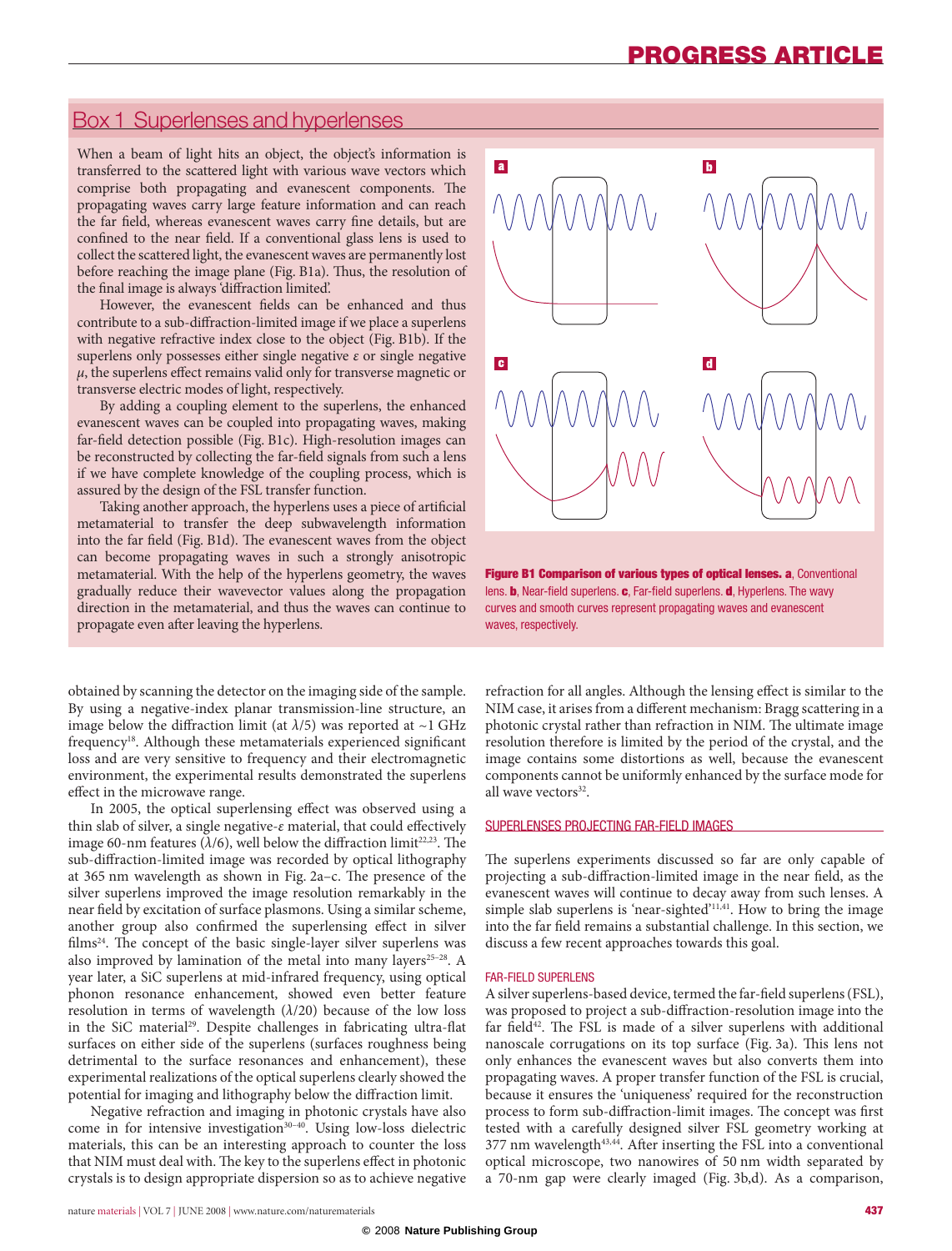## Box 1 Superlenses and hyperlenses

When a beam of light hits an object, the object's information is transferred to the scattered light with various wave vectors which comprise both propagating and evanescent components. The propagating waves carry large feature information and can reach the far field, whereas evanescent waves carry fine details, but are confined to the near field. If a conventional glass lens is used to collect the scattered light, the evanescent waves are permanently lost before reaching the image plane (Fig. B1a). Thus, the resolution of the final image is always 'diffraction limited'.

However, the evanescent fields can be enhanced and thus contribute to a sub-diffraction-limited image if we place a superlens with negative refractive index close to the object (Fig. B1b). If the superlens only possesses either single negative *ε* or single negative *μ*, the superlens effect remains valid only for transverse magnetic or transverse electric modes of light, respectively.

By adding a coupling element to the superlens, the enhanced evanescent waves can be coupled into propagating waves, making far-field detection possible (Fig. B1c). High-resolution images can be reconstructed by collecting the far-field signals from such a lens if we have complete knowledge of the coupling process, which is assured by the design of the FSL transfer function.

Taking another approach, the hyperlens uses a piece of artificial metamaterial to transfer the deep subwavelength information into the far field (Fig. B1d). The evanescent waves from the object can become propagating waves in such a strongly anisotropic metamaterial. With the help of the hyperlens geometry, the waves gradually reduce their wavevector values along the propagation direction in the metamaterial, and thus the waves can continue to propagate even after leaving the hyperlens.

obtained by scanning the detector on the imaging side of the sample. By using a negative-index planar transmission-line structure, an image below the diffraction limit (at  $\lambda/5$ ) was reported at ~1 GHz frequency18. Although these metamaterials experienced significant loss and are very sensitive to frequency and their electromagnetic environment, the experimental results demonstrated the superlens effect in the microwave range.

In 2005, the optical superlensing effect was observed using a thin slab of silver, a single negative-*ε* material, that could effectively image 60-nm features ( $\lambda/6$ ), well below the diffraction limit<sup>22,23</sup>. The sub-diffraction-limited image was recorded by optical lithography at 365 nm wavelength as shown in Fig. 2a–c. The presence of the silver superlens improved the image resolution remarkably in the near field by excitation of surface plasmons. Using a similar scheme, another group also confirmed the superlensing effect in silver films24. The concept of the basic single-layer silver superlens was also improved by lamination of the metal into many layers<sup>25-28</sup>. A year later, a SiC superlens at mid-infrared frequency, using optical phonon resonance enhancement, showed even better feature resolution in terms of wavelength  $(\lambda/20)$  because of the low loss in the SiC material<sup>29</sup>. Despite challenges in fabricating ultra-flat surfaces on either side of the superlens (surfaces roughness being detrimental to the surface resonances and enhancement), these experimental realizations of the optical superlens clearly showed the potential for imaging and lithography below the diffraction limit.

Negative refraction and imaging in photonic crystals have also come in for intensive investigation<sup>30-40</sup>. Using low-loss dielectric materials, this can be an interesting approach to counter the loss that NIM must deal with. The key to the superlens effect in photonic crystals is to design appropriate dispersion so as to achieve negative



Figure B1 Comparison of various types of optical lenses. a, Conventional lens. **b**, Near-field superlens. **c**, Far-field superlens. **d**, Hyperlens. The wavy curves and smooth curves represent propagating waves and evanescent waves, respectively.

refraction for all angles. Although the lensing effect is similar to the NIM case, it arises from a different mechanism: Bragg scattering in a photonic crystal rather than refraction in NIM. The ultimate image resolution therefore is limited by the period of the crystal, and the image contains some distortions as well, because the evanescent components cannot be uniformly enhanced by the surface mode for all wave vectors<sup>32</sup>.

## Superlenses projecting far-field images

The superlens experiments discussed so far are only capable of projecting a sub-diffraction-limited image in the near field, as the evanescent waves will continue to decay away from such lenses. A simple slab superlens is 'near-sighted'<sup>11,41</sup>. How to bring the image into the far field remains a substantial challenge. In this section, we discuss a few recent approaches towards this goal.

#### Far-field superlens

A silver superlens-based device, termed the far-field superlens (FSL), was proposed to project a sub-diffraction-resolution image into the far field $42$ . The FSL is made of a silver superlens with additional nanoscale corrugations on its top surface (Fig. 3a). This lens not only enhances the evanescent waves but also converts them into propagating waves. A proper transfer function of the FSL is crucial, because it ensures the 'uniqueness' required for the reconstruction process to form sub-diffraction-limit images. The concept was first tested with a carefully designed silver FSL geometry working at  $377$  nm wavelength $43,44$ . After inserting the FSL into a conventional optical microscope, two nanowires of 50 nm width separated by a 70-nm gap were clearly imaged (Fig. 3b,d). As a comparison,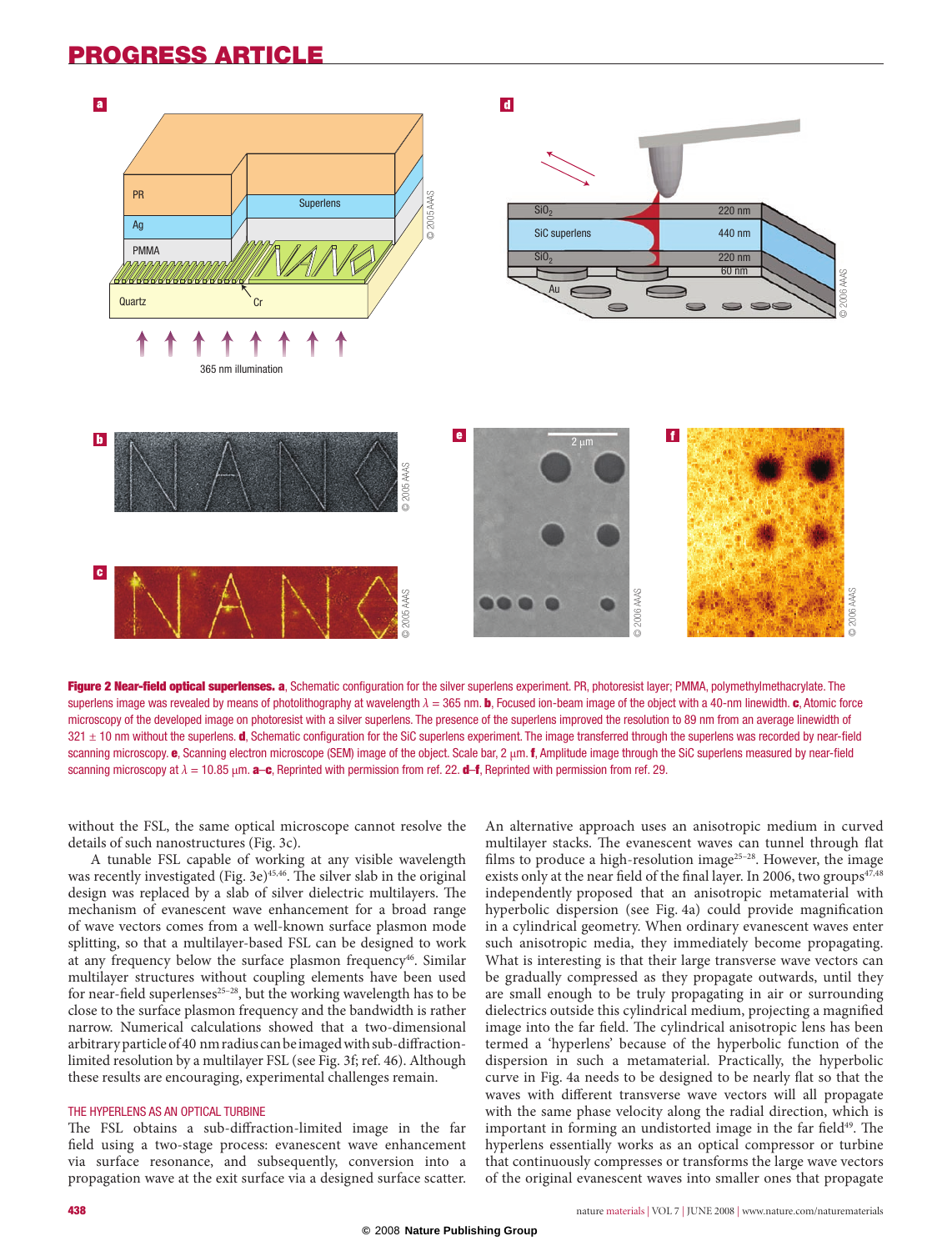# Progress ARTICLE



Figure 2 Near-field optical superlenses. a, Schematic configuration for the silver superlens experiment. PR, photoresist layer; PMMA, polymethylmethacrylate. The superlens image was revealed by means of photolithography at wavelength  $λ = 365$  nm. b, Focused ion-beam image of the object with a 40-nm linewidth. c, Atomic force microscopy of the developed image on photoresist with a silver superlens. The presence of the superlens improved the resolution to 89 nm from an average linewidth of 321 ± 10 nm without the superlens. d, Schematic configuration for the SiC superlens experiment. The image transferred through the superlens was recorded by near-field scanning microscopy. e, Scanning electron microscope (SEM) image of the object. Scale bar, 2 μm. f, Amplitude image through the SiC superlens measured by near-field scanning microscopy at  $λ = 10.85 \mu m$ . **a–c**, Reprinted with permission from ref. 22. **d–f**, Reprinted with permission from ref. 29.

without the FSL, the same optical microscope cannot resolve the details of such nanostructures (Fig. 3c).

A tunable FSL capable of working at any visible wavelength was recently investigated (Fig. 3e)<sup>45,46</sup>. The silver slab in the original design was replaced by a slab of silver dielectric multilayers. The mechanism of evanescent wave enhancement for a broad range of wave vectors comes from a well-known surface plasmon mode splitting, so that a multilayer-based FSL can be designed to work at any frequency below the surface plasmon frequency<sup>46</sup>. Similar multilayer structures without coupling elements have been used for near-field superlenses<sup>25-28</sup>, but the working wavelength has to be close to the surface plasmon frequency and the bandwidth is rather narrow. Numerical calculations showed that a two-dimensional arbitrary particle of 40 nm radius can be imaged with sub-diffractionlimited resolution by a multilayer FSL (see Fig. 3f; ref. 46). Although these results are encouraging, experimental challenges remain.

### the hyperlens as An optical turbine

The FSL obtains a sub-diffraction-limited image in the far field using a two-stage process: evanescent wave enhancement via surface resonance, and subsequently, conversion into a propagation wave at the exit surface via a designed surface scatter.

An alternative approach uses an anisotropic medium in curved multilayer stacks. The evanescent waves can tunnel through flat films to produce a high-resolution image<sup>25-28</sup>. However, the image exists only at the near field of the final layer. In 2006, two groups $47.48$ independently proposed that an anisotropic metamaterial with hyperbolic dispersion (see Fig. 4a) could provide magnification in a cylindrical geometry. When ordinary evanescent waves enter such anisotropic media, they immediately become propagating. What is interesting is that their large transverse wave vectors can be gradually compressed as they propagate outwards, until they are small enough to be truly propagating in air or surrounding dielectrics outside this cylindrical medium, projecting a magnified image into the far field. The cylindrical anisotropic lens has been termed a 'hyperlens' because of the hyperbolic function of the dispersion in such a metamaterial. Practically, the hyperbolic curve in Fig. 4a needs to be designed to be nearly flat so that the waves with different transverse wave vectors will all propagate with the same phase velocity along the radial direction, which is important in forming an undistorted image in the far field<sup>49</sup>. The hyperlens essentially works as an optical compressor or turbine that continuously compresses or transforms the large wave vectors of the original evanescent waves into smaller ones that propagate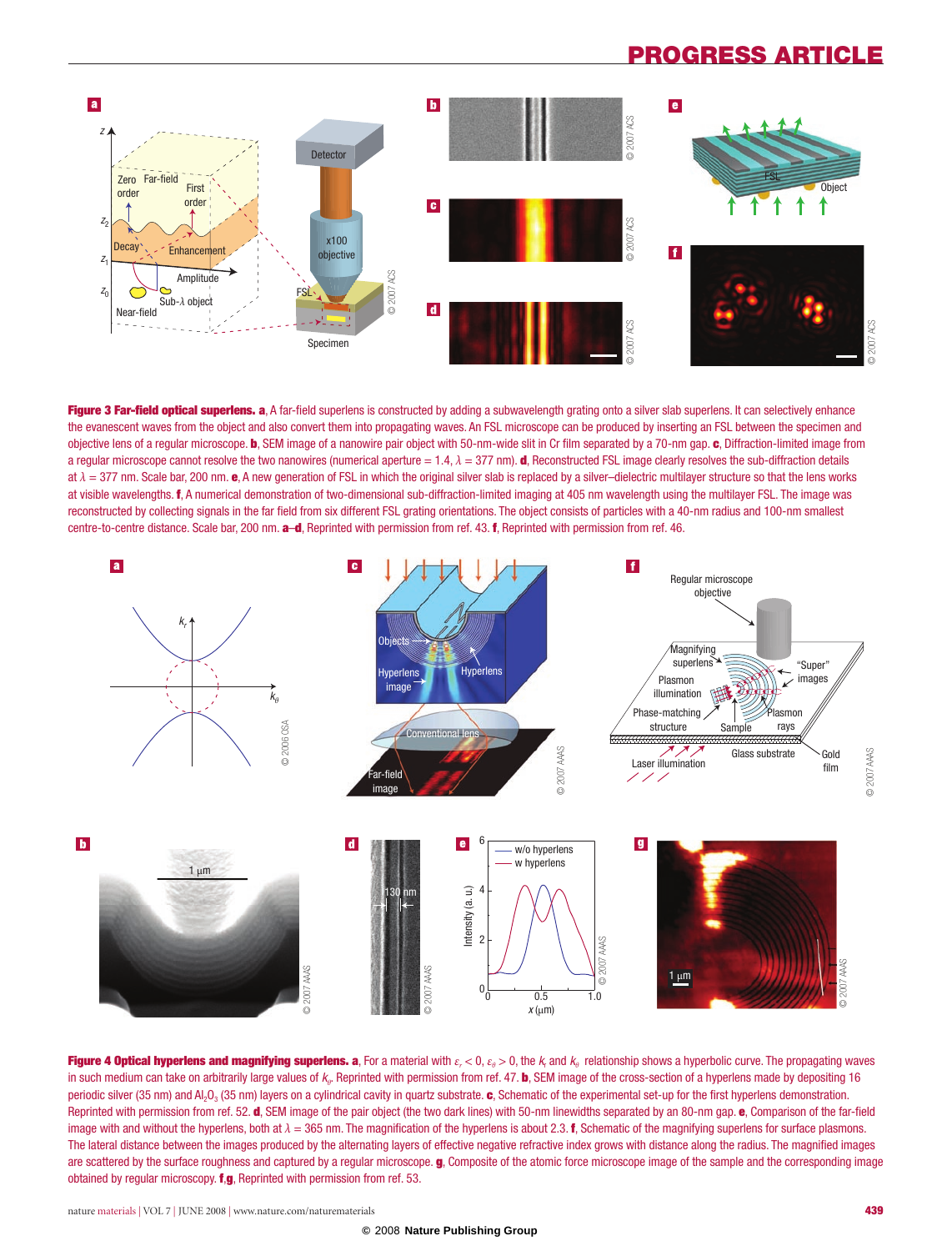# progress ARTICLE



Figure 3 Far-field optical superlens. a, A far-field superlens is constructed by adding a subwavelength grating onto a silver slab superlens. It can selectively enhance the evanescent waves from the object and also convert them into propagating waves. An FSL microscope can be produced by inserting an FSL between the specimen and objective lens of a regular microscope. **b**, SEM image of a nanowire pair object with 50-nm-wide slit in Cr film separated by a 70-nm gap. c, Diffraction-limited image from a regular microscope cannot resolve the two nanowires (numerical aperture = 1.4, *λ* = 377 nm). d, Reconstructed FSL image clearly resolves the sub-diffraction details at  $\lambda = 377$  nm. Scale bar, 200 nm. e, A new generation of FSL in which the original silver slab is replaced by a silver-dielectric multilayer structure so that the lens works at visible wavelengths. f, A numerical demonstration of two-dimensional sub-diffraction-limited imaging at 405 nm wavelength using the multilayer FSL. The image was reconstructed by collecting signals in the far field from six different FSL grating orientations. The object consists of particles with a 40-nm radius and 100-nm smallest centre-to-centre distance. Scale bar, 200 nm. a-d, Reprinted with permission from ref. 43. f, Reprinted with permission from ref. 46.



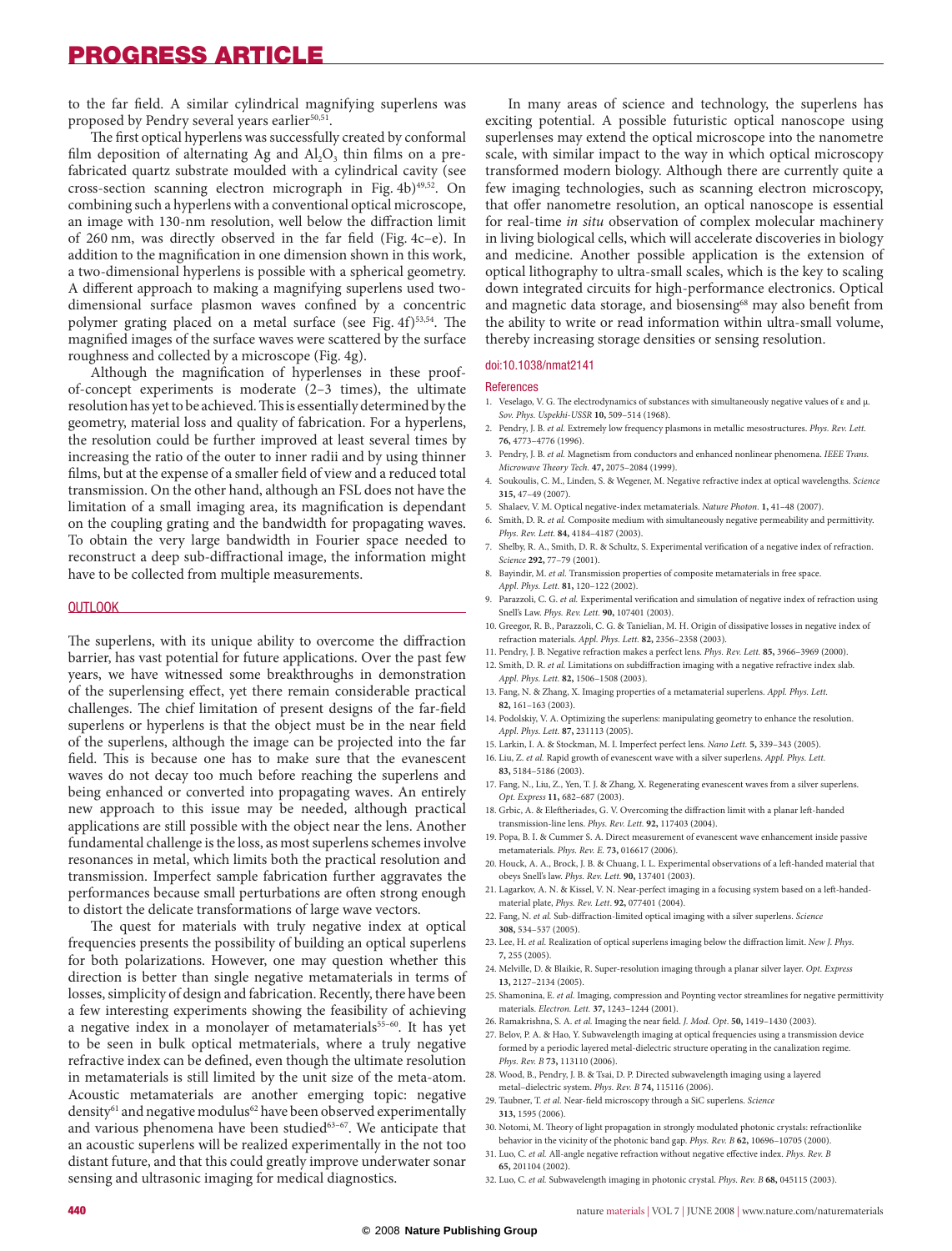# Progress ARTICLE

to the far field. A similar cylindrical magnifying superlens was proposed by Pendry several years earlier<sup>50,51</sup>.

The first optical hyperlens was successfully created by conformal film deposition of alternating Ag and  $Al_2O_3$  thin films on a prefabricated quartz substrate moulded with a cylindrical cavity (see cross-section scanning electron micrograph in Fig. 4b)<sup>49,52</sup>. On combining such a hyperlens with a conventional optical microscope, an image with 130-nm resolution, well below the diffraction limit of 260 nm, was directly observed in the far field (Fig. 4c–e). In addition to the magnification in one dimension shown in this work, a two-dimensional hyperlens is possible with a spherical geometry. A different approach to making a magnifying superlens used twodimensional surface plasmon waves confined by a concentric polymer grating placed on a metal surface (see Fig. 4f)<sup>53,54</sup>. The magnified images of the surface waves were scattered by the surface roughness and collected by a microscope (Fig. 4g).

Although the magnification of hyperlenses in these proofof-concept experiments is moderate (2–3 times), the ultimate resolution has yet to be achieved. This is essentially determined by the geometry, material loss and quality of fabrication. For a hyperlens, the resolution could be further improved at least several times by increasing the ratio of the outer to inner radii and by using thinner films, but at the expense of a smaller field of view and a reduced total transmission. On the other hand, although an FSL does not have the limitation of a small imaging area, its magnification is dependant on the coupling grating and the bandwidth for propagating waves. To obtain the very large bandwidth in Fourier space needed to reconstruct a deep sub-diffractional image, the information might have to be collected from multiple measurements.

#### **OUTLOOK**

The superlens, with its unique ability to overcome the diffraction barrier, has vast potential for future applications. Over the past few years, we have witnessed some breakthroughs in demonstration of the superlensing effect, yet there remain considerable practical challenges. The chief limitation of present designs of the far-field superlens or hyperlens is that the object must be in the near field of the superlens, although the image can be projected into the far field. This is because one has to make sure that the evanescent waves do not decay too much before reaching the superlens and being enhanced or converted into propagating waves. An entirely new approach to this issue may be needed, although practical applications are still possible with the object near the lens. Another fundamental challenge is the loss, as most superlens schemes involve resonances in metal, which limits both the practical resolution and transmission. Imperfect sample fabrication further aggravates the performances because small perturbations are often strong enough to distort the delicate transformations of large wave vectors.

The quest for materials with truly negative index at optical frequencies presents the possibility of building an optical superlens for both polarizations. However, one may question whether this direction is better than single negative metamaterials in terms of losses, simplicity of design and fabrication. Recently, there have been a few interesting experiments showing the feasibility of achieving a negative index in a monolayer of metamaterials<sup>55-60</sup>. It has yet to be seen in bulk optical metmaterials, where a truly negative refractive index can be defined, even though the ultimate resolution in metamaterials is still limited by the unit size of the meta-atom. Acoustic metamaterials are another emerging topic: negative density<sup>61</sup> and negative modulus<sup>62</sup> have been observed experimentally and various phenomena have been studied<sup>63-67</sup>. We anticipate that an acoustic superlens will be realized experimentally in the not too distant future, and that this could greatly improve underwater sonar sensing and ultrasonic imaging for medical diagnostics.

In many areas of science and technology, the superlens has exciting potential. A possible futuristic optical nanoscope using superlenses may extend the optical microscope into the nanometre scale, with similar impact to the way in which optical microscopy transformed modern biology. Although there are currently quite a few imaging technologies, such as scanning electron microscopy, that offer nanometre resolution, an optical nanoscope is essential for real-time *in situ* observation of complex molecular machinery in living biological cells, which will accelerate discoveries in biology and medicine. Another possible application is the extension of optical lithography to ultra-small scales, which is the key to scaling down integrated circuits for high-performance electronics. Optical and magnetic data storage, and biosensing<sup>68</sup> may also benefit from the ability to write or read information within ultra-small volume, thereby increasing storage densities or sensing resolution.

#### doi:10.1038/nmat2141

#### References

- 1. Veselago, V. G. The electrodynamics of substances with simultaneously negative values of ε and μ. *Sov. Phys. Uspekhi-USSR* **10,** 509–514 (1968).
- 2. Pendry, J. B. *et al.* Extremely low frequency plasmons in metallic mesostructures. *Phys. Rev. Lett.*  **76,** 4773–4776 (1996).
- 3. Pendry, J. B. *et al.* Magnetism from conductors and enhanced nonlinear phenomena. *IEEE Trans. Microwave Theory Tech.* **47,** 2075–2084 (1999).
- 4. Soukoulis, C. M., Linden, S. & Wegener, M. Negative refractive index at optical wavelengths. *Science* **315,** 47–49 (2007).
- 5. Shalaev, V. M. Optical negative-index metamaterials. *Nature Photon.* **1,** 41–48 (2007).
- 6. Smith, D. R. *et al.* Composite medium with simultaneously negative permeability and permittivity. *Phys. Rev. Lett.* **84,** 4184–4187 (2003).
- 7. Shelby, R. A., Smith, D. R. & Schultz, S. Experimental verification of a negative index of refraction. *Science* **292,** 77–79 (2001).
- 8. Bayindir, M. *et al.* Transmission properties of composite metamaterials in free space. *Appl. Phys. Lett.* **81,** 120–122 (2002).
- 9. Parazzoli, C. G. *et al.* Experimental verification and simulation of negative index of refraction using Snell's Law. *Phys. Rev. Lett.* **90,** 107401 (2003).
- 10. Greegor, R. B., Parazzoli, C. G. & Tanielian, M. H. Origin of dissipative losses in negative index of refraction materials. *Appl. Phys. Lett.* **82,** 2356–2358 (2003).
- 11. Pendry, J. B. Negative refraction makes a perfect lens. *Phys. Rev. Lett.* **85,** 3966–3969 (2000).
- 12. Smith, D. R. *et al.* Limitations on subdiffraction imaging with a negative refractive index slab. *Appl. Phys. Lett.* **82,** 1506–1508 (2003).
- 13. Fang, N. & Zhang, X. Imaging properties of a metamaterial superlens. *Appl. Phys. Lett.* **82,** 161–163 (2003).
- 14. Podolskiy, V. A. Optimizing the superlens: manipulating geometry to enhance the resolution. *Appl. Phys. Lett.* **87,** 231113 (2005).
- 15. Larkin, I. A. & Stockman, M. I. Imperfect perfect lens. *Nano Lett.* **5,** 339–343 (2005).
- 16. Liu, Z. *et al.* Rapid growth of evanescent wave with a silver superlens. *Appl. Phys. Lett.*  **83,** 5184–5186 (2003).
- 17. Fang, N., Liu, Z., Yen, T. J. & Zhang, X. Regenerating evanescent waves from a silver superlens. *Opt. Express* **11,** 682–687 (2003).
- 18. Grbic, A. & Eleftheriades, G. V. Overcoming the diffraction limit with a planar left-handed transmission-line lens. *Phys. Rev. Lett.* **92,** 117403 (2004).
- 19. Popa, B. I. & Cummer S. A. Direct measurement of evanescent wave enhancement inside passive metamaterials. *Phys. Rev. E.* **73,** 016617 (2006).
- 20. Houck, A. A., Brock, J. B. & Chuang, I. L. Experimental observations of a left-handed material that obeys Snell's law. *Phys. Rev. Lett.* **90,** 137401 (2003).
- 21. Lagarkov, A. N. & Kissel, V. N. Near-perfect imaging in a focusing system based on a left-handedmaterial plate, *Phys. Rev. Lett*. **92,** 077401 (2004).
- 22. Fang, N. *et al.* Sub-diffraction-limited optical imaging with a silver superlens. *Science* **308,** 534–537 (2005).
- 23. Lee, H. *et al.* Realization of optical superlens imaging below the diffraction limit. *New J. Phys.* **7,** 255 (2005).
- 24. Melville, D. & Blaikie, R. Super-resolution imaging through a planar silver layer. *Opt. Express* **13,** 2127–2134 (2005).
- 25. Shamonina, E. *et al.* Imaging, compression and Poynting vector streamlines for negative permittivity materials. *Electron. Lett.* **37,** 1243–1244 (2001).
- 26. Ramakrishna, S. A. *et al.* Imaging the near field. *J. Mod. Opt*. **50,** 1419–1430 (2003).
- 27. Belov, P. A. & Hao, Y. Subwavelength imaging at optical frequencies using a transmission device formed by a periodic layered metal-dielectric structure operating in the canalization regime. *Phys. Rev. B* **73,** 113110 (2006).
- 28. Wood, B., Pendry, J. B. & Tsai, D. P. Directed subwavelength imaging using a layered metal–dielectric system. *Phys. Rev. B* **74,** 115116 (2006).
- 29. Taubner, T. *et al.* Near-field microscopy through a SiC superlens. *Science* **313,** 1595 (2006).
- 30. Notomi, M. Theory of light propagation in strongly modulated photonic crystals: refractionlike behavior in the vicinity of the photonic band gap. *Phys. Rev. B* **62,** 10696–10705 (2000).
- 31. Luo, C. *et al.* All-angle negative refraction without negative effective index. *Phys. Rev. B*  **65,** 201104 (2002).
- 32. Luo, C. *et al.* Subwavelength imaging in photonic crystal. *Phys. Rev. B* **68,** 045115 (2003).